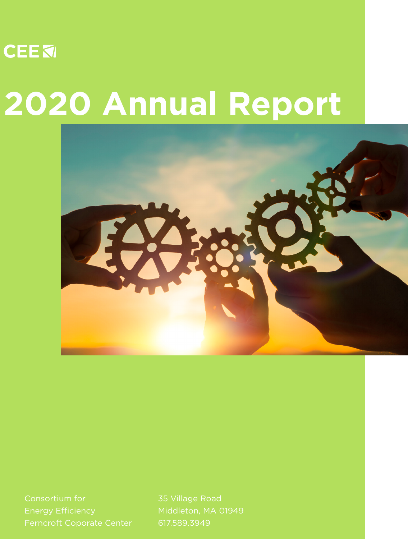

# **2020 Annual Report**



Energy Efficiency

35 Village Road 617.589.3949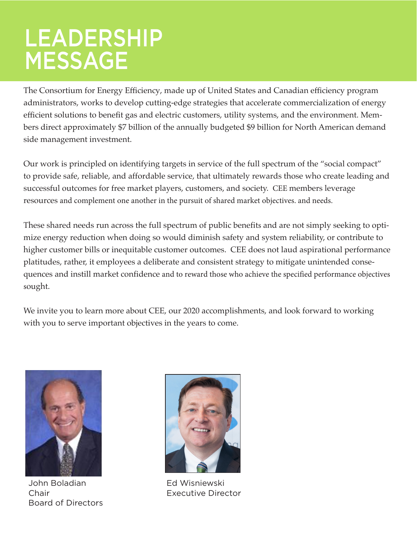### LEADERSHIP MESSAGE

The Consortium for Energy Efficiency, made up of United States and Canadian efficiency program administrators, works to develop cutting-edge strategies that accelerate commercialization of energy efficient solutions to benefit gas and electric customers, utility systems, and the environment. Members direct approximately \$7 billion of the annually budgeted \$9 billion for North American demand side management investment.

Our work is principled on identifying targets in service of the full spectrum of the "social compact" to provide safe, reliable, and affordable service, that ultimately rewards those who create leading and successful outcomes for free market players, customers, and society. CEE members leverage resources and complement one another in the pursuit of shared market objectives. and needs.

These shared needs run across the full spectrum of public benefits and are not simply seeking to optimize energy reduction when doing so would diminish safety and system reliability, or contribute to higher customer bills or inequitable customer outcomes. CEE does not laud aspirational performance platitudes, rather, it employees a deliberate and consistent strategy to mitigate unintended consequences and instill market confidence and to reward those who achieve the specified performance objectives sought.

We invite you to learn more about CEE, our 2020 accomplishments, and look forward to working with you to serve important objectives in the years to come.



John Boladian Chair Board of Directors



Ed Wisniewski Executive Director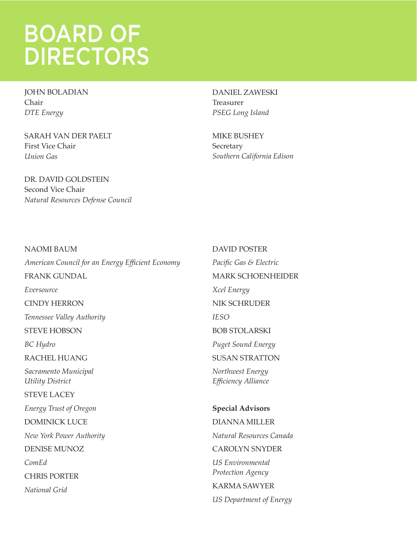### BOARD OF DIRECTORS

JOHN BOLADIAN Chair *DTE Energy*

SARAH VAN DER PAELT First Vice Chair *Union Gas*

DR. DAVID GOLDSTEIN Second Vice Chair *Natural Resources Defense Council* DANIEL ZAWESKI Treasurer *PSEG Long Island*

MIKE BUSHEY Secretary *Southern California Edison*

NAOMI BAUM *American Council for an Energy Efficient Economy* FRANK GUNDAL *Eversource* CINDY HERRON *Tennessee Valley Authority* STEVE HOBSON *BC Hydro* RACHEL HUANG *Sacramento Municipal Utility District* STEVE LACEY *Energy Trust of Oregon* DOMINICK LUCE *New York Power Authority* DENISE MUNOZ *ComEd* CHRIS PORTER *National Grid*

DAVID POSTER *Pacific Gas & Electric* MARK SCHOENHEIDER *Xcel Energy* NIK SCHRUDER *IESO* BOB STOLARSKI *Puget Sound Energy* SUSAN STRATTON *Northwest Energy Efficiency Alliance* **Special Advisors** DIANNA MILLER *Natural Resources Canada* CAROLYN SNYDER *US Environmental Protection Agency* KARMA SAWYER

*US Department of Energy*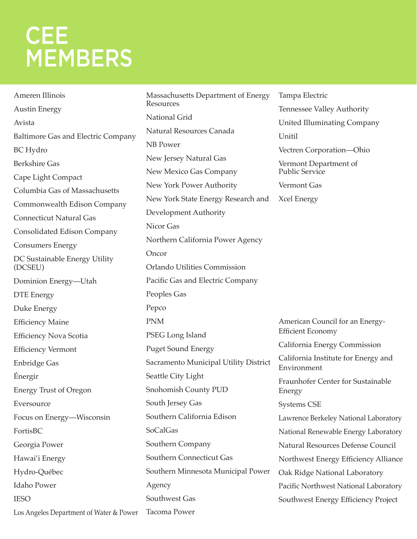### **CEE MEMBERS**

Ameren Illinois Austin Energy Avista Baltimore Gas and Electric Company BC Hydro Berkshire Gas Cape Light Compact Columbia Gas of Massachusetts Commonwealth Edison Company Connecticut Natural Gas Consolidated Edison Company Consumers Energy DC Sustainable Energy Utility (DCSEU) Dominion Energy—Utah DTE Energy Duke Energy Efficiency Maine Efficiency Nova Scotia Efficiency Vermont Enbridge Gas Énergir Energy Trust of Oregon Eversource Focus on Energy—Wisconsin FortisBC Georgia Power Hawai'i Energy Hydro-Québec Idaho Power **IESO** Los Angeles Department of Water & Power Massachusetts Department of Energy Resources National Grid Natural Resources Canada NB Power New Jersey Natural Gas New Mexico Gas Company New York Power Authority New York State Energy Research and Development Authority Nicor Gas Northern California Power Agency Oncor Orlando Utilities Commission Pacific Gas and Electric Company Peoples Gas Pepco PNM PSEG Long Island Puget Sound Energy Sacramento Municipal Utility District Seattle City Light Snohomish County PUD South Jersey Gas Southern California Edison SoCalGas Southern Company Southern Connecticut Gas Southern Minnesota Municipal Power Agency Southwest Gas Tacoma Power Tampa Electric Tennessee Valley Authority United Illuminating Company Unitil Vectren Corporation—Ohio Vermont Department of Public Service Vermont Gas Xcel Energy American Council for an Energy-Efficient Economy California Energy Commission California Institute for Energy and Environment Fraunhofer Center for Sustainable Energy Systems CSE Lawrence Berkeley National Laboratory National Renewable Energy Laboratory Natural Resources Defense Council Northwest Energy Efficiency Alliance Oak Ridge National Laboratory Pacific Northwest National Laboratory Southwest Energy Efficiency Project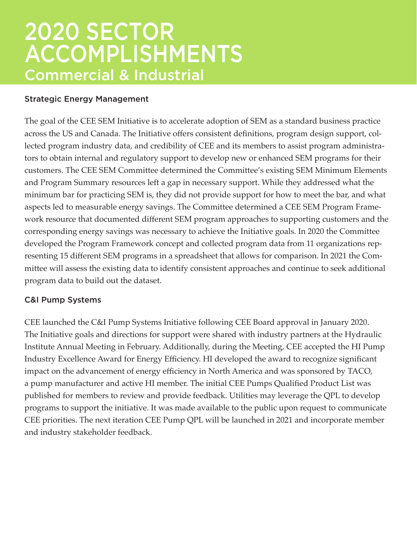#### Strategic Energy Management

The goal of the CEE SEM Initiative is to accelerate adoption of SEM as a standard business practice across the US and Canada. The Initiative offers consistent definitions, program design support, collected program industry data, and credibility of CEE and its members to assist program administrators to obtain internal and regulatory support to develop new or enhanced SEM programs for their customers. The CEE SEM Committee determined the Committee's existing SEM Minimum Elements and Program Summary resources left a gap in necessary support. While they addressed what the minimum bar for practicing SEM is, they did not provide support for how to meet the bar, and what aspects led to measurable energy savings. The Committee determined a CEE SEM Program Framework resource that documented different SEM program approaches to supporting customers and the corresponding energy savings was necessary to achieve the Initiative goals. In 2020 the Committee developed the Program Framework concept and collected program data from 11 organizations representing 15 different SEM programs in a spreadsheet that allows for comparison. In 2021 the Committee will assess the existing data to identify consistent approaches and continue to seek additional program data to build out the dataset.

#### C&I Pump Systems

CEE launched the C&I Pump Systems Initiative following CEE Board approval in January 2020. The Initiative goals and directions for support were shared with industry partners at the Hydraulic Institute Annual Meeting in February. Additionally, during the Meeting, CEE accepted the HI Pump Industry Excellence Award for Energy Efficiency. HI developed the award to recognize significant impact on the advancement of energy efficiency in North America and was sponsored by TACO, a pump manufacturer and active HI member. The initial CEE Pumps Qualified Product List was published for members to review and provide feedback. Utilities may leverage the QPL to develop programs to support the initiative. It was made available to the public upon request to communicate CEE priorities. The next iteration CEE Pump QPL will be launched in 2021 and incorporate member and industry stakeholder feedback.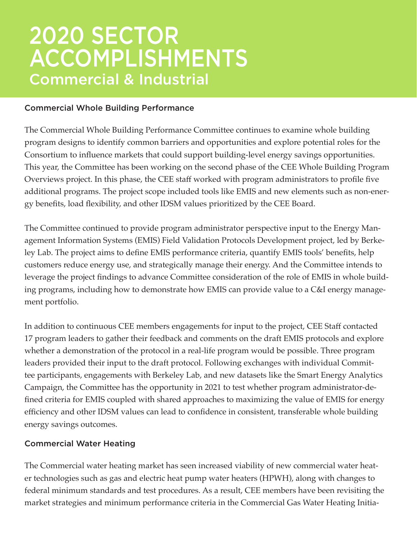#### Commercial Whole Building Performance

The Commercial Whole Building Performance Committee continues to examine whole building program designs to identify common barriers and opportunities and explore potential roles for the Consortium to influence markets that could support building-level energy savings opportunities. This year, the Committee has been working on the second phase of the CEE Whole Building Program Overviews project. In this phase, the CEE staff worked with program administrators to profile five additional programs. The project scope included tools like EMIS and new elements such as non-energy benefits, load flexibility, and other IDSM values prioritized by the CEE Board.

The Committee continued to provide program administrator perspective input to the Energy Management Information Systems (EMIS) Field Validation Protocols Development project, led by Berkeley Lab. The project aims to define EMIS performance criteria, quantify EMIS tools' benefits, help customers reduce energy use, and strategically manage their energy. And the Committee intends to leverage the project findings to advance Committee consideration of the role of EMIS in whole building programs, including how to demonstrate how EMIS can provide value to a C&I energy management portfolio.

In addition to continuous CEE members engagements for input to the project, CEE Staff contacted 17 program leaders to gather their feedback and comments on the draft EMIS protocols and explore whether a demonstration of the protocol in a real-life program would be possible. Three program leaders provided their input to the draft protocol. Following exchanges with individual Committee participants, engagements with Berkeley Lab, and new datasets like the Smart Energy Analytics Campaign, the Committee has the opportunity in 2021 to test whether program administrator-defined criteria for EMIS coupled with shared approaches to maximizing the value of EMIS for energy efficiency and other IDSM values can lead to confidence in consistent, transferable whole building energy savings outcomes.

#### Commercial Water Heating

The Commercial water heating market has seen increased viability of new commercial water heater technologies such as gas and electric heat pump water heaters (HPWH), along with changes to federal minimum standards and test procedures. As a result, CEE members have been revisiting the market strategies and minimum performance criteria in the Commercial Gas Water Heating Initia-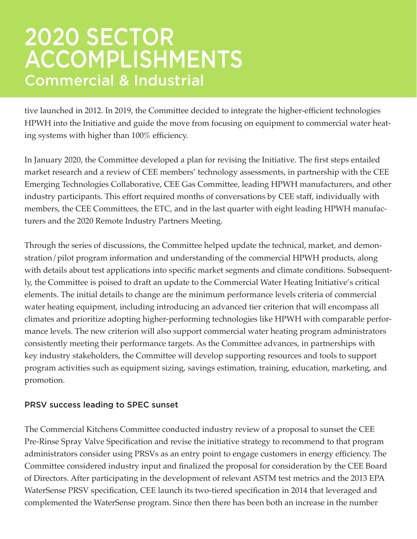tive launched in 2012. In 2019, the Committee decided to integrate the higher-efficient technologies HPWH into the Initiative and guide the move from focusing on equipment to commercial water heating systems with higher than 100% efficiency.

In January 2020, the Committee developed a plan for revising the Initiative. The first steps entailed market research and a review of CEE members' technology assessments, in partnership with the CEE Emerging Technologies Collaborative, CEE Gas Committee, leading HPWH manufacturers, and other industry participants. This effort required months of conversations by CEE staff, individually with members, the CEE Committees, the ETC, and in the last quarter with eight leading HPWH manufacturers and the 2020 Remote Industry Partners Meeting.

Through the series of discussions, the Committee helped update the technical, market, and demonstration/pilot program information and understanding of the commercial HPWH products, along with details about test applications into specific market segments and climate conditions. Subsequently, the Committee is poised to draft an update to the Commercial Water Heating Initiative's critical elements. The initial details to change are the minimum performance levels criteria of commercial water heating equipment, including introducing an advanced tier criterion that will encompass all climates and prioritize adopting higher-performing technologies like HPWH with comparable performance levels. The new criterion will also support commercial water heating program administrators consistently meeting their performance targets. As the Committee advances, in partnerships with key industry stakeholders, the Committee will develop supporting resources and tools to support program activities such as equipment sizing, savings estimation, training, education, marketing, and promotion.

#### PRSV success leading to SPEC sunset

The Commercial Kitchens Committee conducted industry review of a proposal to sunset the CEE Pre-Rinse Spray Valve Specification and revise the initiative strategy to recommend to that program administrators consider using PRSVs as an entry point to engage customers in energy efficiency. The Committee considered industry input and finalized the proposal for consideration by the CEE Board of Directors. After participating in the development of relevant ASTM test metrics and the 2013 EPA WaterSense PRSV specification, CEE launch its two-tiered specification in 2014 that leveraged and complemented the WaterSense program. Since then there has been both an increase in the number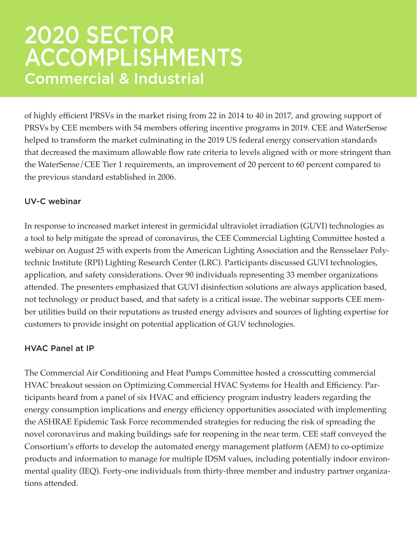of highly efficient PRSVs in the market rising from 22 in 2014 to 40 in 2017, and growing support of PRSVs by CEE members with 54 members offering incentive programs in 2019. CEE and WaterSense helped to transform the market culminating in the 2019 US federal energy conservation standards that decreased the maximum allowable flow rate criteria to levels aligned with or more stringent than the WaterSense/CEE Tier 1 requirements, an improvement of 20 percent to 60 percent compared to the previous standard established in 2006.

#### UV-C webinar

In response to increased market interest in germicidal ultraviolet irradiation (GUVI) technologies as a tool to help mitigate the spread of coronavirus, the CEE Commercial Lighting Committee hosted a webinar on August 25 with experts from the American Lighting Association and the Rensselaer Polytechnic Institute (RPI) Lighting Research Center (LRC). Participants discussed GUVI technologies, application, and safety considerations. Over 90 individuals representing 33 member organizations attended. The presenters emphasized that GUVI disinfection solutions are always application based, not technology or product based, and that safety is a critical issue. The webinar supports CEE member utilities build on their reputations as trusted energy advisors and sources of lighting expertise for customers to provide insight on potential application of GUV technologies.

#### HVAC Panel at IP

The Commercial Air Conditioning and Heat Pumps Committee hosted a crosscutting commercial HVAC breakout session on Optimizing Commercial HVAC Systems for Health and Efficiency. Participants heard from a panel of six HVAC and efficiency program industry leaders regarding the energy consumption implications and energy efficiency opportunities associated with implementing the ASHRAE Epidemic Task Force recommended strategies for reducing the risk of spreading the novel coronavirus and making buildings safe for reopening in the near term. CEE staff conveyed the Consortium's efforts to develop the automated energy management platform (AEM) to co-optimize products and information to manage for multiple IDSM values, including potentially indoor environmental quality (IEQ). Forty-one individuals from thirty-three member and industry partner organizations attended.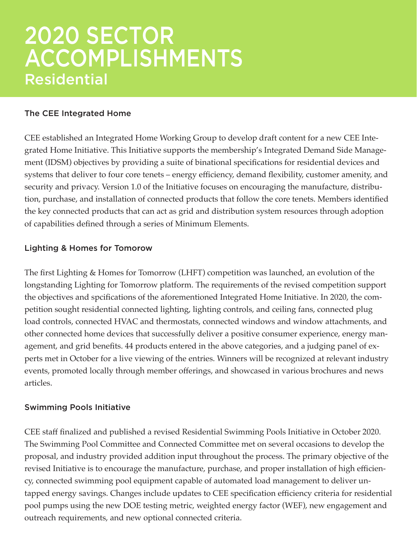### 2020 SECTOR ACCOMPLISHMENTS Residential

#### The CEE Integrated Home

CEE established an Integrated Home Working Group to develop draft content for a new CEE Integrated Home Initiative. This Initiative supports the membership's Integrated Demand Side Management (IDSM) objectives by providing a suite of binational specifications for residential devices and systems that deliver to four core tenets – energy efficiency, demand flexibility, customer amenity, and security and privacy. Version 1.0 of the Initiative focuses on encouraging the manufacture, distribution, purchase, and installation of connected products that follow the core tenets. Members identified the key connected products that can act as grid and distribution system resources through adoption of capabilities defined through a series of Minimum Elements.

#### Lighting & Homes for Tomorow

The first Lighting & Homes for Tomorrow (LHFT) competition was launched, an evolution of the longstanding Lighting for Tomorrow platform. The requirements of the revised competition support the objectives and spcifications of the aforementioned Integrated Home Initiative. In 2020, the competition sought residential connected lighting, lighting controls, and ceiling fans, connected plug load controls, connected HVAC and thermostats, connected windows and window attachments, and other connected home devices that successfully deliver a positive consumer experience, energy management, and grid benefits. 44 products entered in the above categories, and a judging panel of experts met in October for a live viewing of the entries. Winners will be recognized at relevant industry events, promoted locally through member offerings, and showcased in various brochures and news articles.

#### Swimming Pools Initiative

CEE staff finalized and published a revised Residential Swimming Pools Initiative in October 2020. The Swimming Pool Committee and Connected Committee met on several occasions to develop the proposal, and industry provided addition input throughout the process. The primary objective of the revised Initiative is to encourage the manufacture, purchase, and proper installation of high efficiency, connected swimming pool equipment capable of automated load management to deliver untapped energy savings. Changes include updates to CEE specification efficiency criteria for residential pool pumps using the new DOE testing metric, weighted energy factor (WEF), new engagement and outreach requirements, and new optional connected criteria.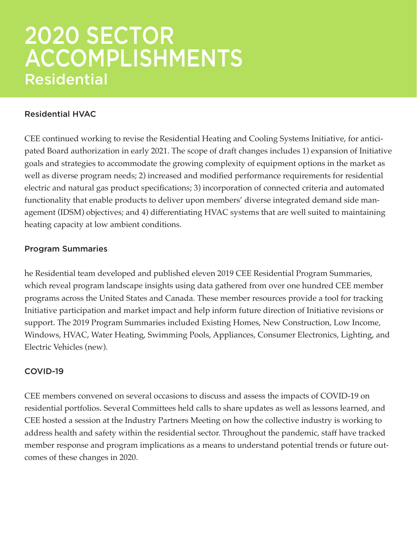### 2020 SECTOR ACCOMPLISHMENTS Residential

#### Residential HVAC

CEE continued working to revise the Residential Heating and Cooling Systems Initiative, for anticipated Board authorization in early 2021. The scope of draft changes includes 1) expansion of Initiative goals and strategies to accommodate the growing complexity of equipment options in the market as well as diverse program needs; 2) increased and modified performance requirements for residential electric and natural gas product specifications; 3) incorporation of connected criteria and automated functionality that enable products to deliver upon members' diverse integrated demand side management (IDSM) objectives; and 4) differentiating HVAC systems that are well suited to maintaining heating capacity at low ambient conditions.

#### Program Summaries

he Residential team developed and published eleven 2019 CEE Residential Program Summaries, which reveal program landscape insights using data gathered from over one hundred CEE member programs across the United States and Canada. These member resources provide a tool for tracking Initiative participation and market impact and help inform future direction of Initiative revisions or support. The 2019 Program Summaries included Existing Homes, New Construction, Low Income, Windows, HVAC, Water Heating, Swimming Pools, Appliances, Consumer Electronics, Lighting, and Electric Vehicles (new).

#### COVID-19

CEE members convened on several occasions to discuss and assess the impacts of COVID-19 on residential portfolios. Several Committees held calls to share updates as well as lessons learned, and CEE hosted a session at the Industry Partners Meeting on how the collective industry is working to address health and safety within the residential sector. Throughout the pandemic, staff have tracked member response and program implications as a means to understand potential trends or future outcomes of these changes in 2020.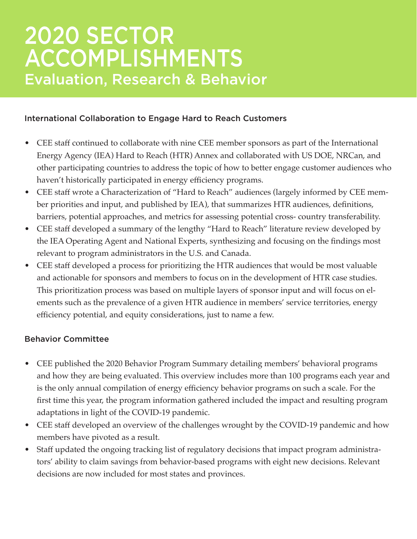### 2020 SECTOR ACCOMPLISHMENTS Evaluation, Research & Behavior

#### International Collaboration to Engage Hard to Reach Customers

- CEE staff continued to collaborate with nine CEE member sponsors as part of the International Energy Agency (IEA) Hard to Reach (HTR) Annex and collaborated with US DOE, NRCan, and other participating countries to address the topic of how to better engage customer audiences who haven't historically participated in energy efficiency programs.
- CEE staff wrote a Characterization of "Hard to Reach" audiences (largely informed by CEE member priorities and input, and published by IEA), that summarizes HTR audiences, definitions, barriers, potential approaches, and metrics for assessing potential cross- country transferability.
- CEE staff developed a summary of the lengthy "Hard to Reach" literature review developed by the IEA Operating Agent and National Experts, synthesizing and focusing on the findings most relevant to program administrators in the U.S. and Canada.
- CEE staff developed a process for prioritizing the HTR audiences that would be most valuable and actionable for sponsors and members to focus on in the development of HTR case studies. This prioritization process was based on multiple layers of sponsor input and will focus on elements such as the prevalence of a given HTR audience in members' service territories, energy efficiency potential, and equity considerations, just to name a few.

#### Behavior Committee

- CEE published the 2020 Behavior Program Summary detailing members' behavioral programs and how they are being evaluated. This overview includes more than 100 programs each year and is the only annual compilation of energy efficiency behavior programs on such a scale. For the first time this year, the program information gathered included the impact and resulting program adaptations in light of the COVID-19 pandemic.
- CEE staff developed an overview of the challenges wrought by the COVID-19 pandemic and how members have pivoted as a result.
- Staff updated the ongoing tracking list of regulatory decisions that impact program administrators' ability to claim savings from behavior-based programs with eight new decisions. Relevant decisions are now included for most states and provinces.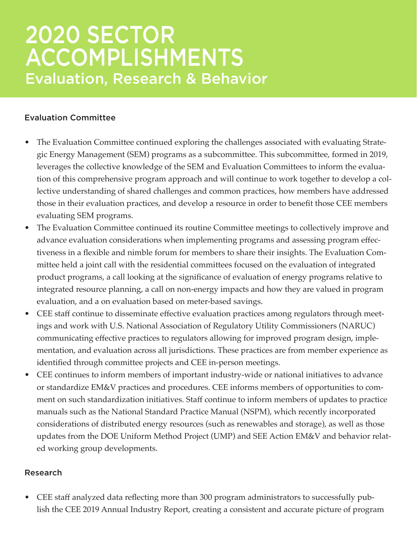### 2020 SECTOR ACCOMPLISHMENTS Evaluation, Research & Behavior

#### Evaluation Committee

- The Evaluation Committee continued exploring the challenges associated with evaluating Strategic Energy Management (SEM) programs as a subcommittee. This subcommittee, formed in 2019, leverages the collective knowledge of the SEM and Evaluation Committees to inform the evaluation of this comprehensive program approach and will continue to work together to develop a collective understanding of shared challenges and common practices, how members have addressed those in their evaluation practices, and develop a resource in order to benefit those CEE members evaluating SEM programs.
- The Evaluation Committee continued its routine Committee meetings to collectively improve and advance evaluation considerations when implementing programs and assessing program effectiveness in a flexible and nimble forum for members to share their insights. The Evaluation Committee held a joint call with the residential committees focused on the evaluation of integrated product programs, a call looking at the significance of evaluation of energy programs relative to integrated resource planning, a call on non-energy impacts and how they are valued in program evaluation, and a on evaluation based on meter-based savings.
- CEE staff continue to disseminate effective evaluation practices among regulators through meetings and work with U.S. National Association of Regulatory Utility Commissioners (NARUC) communicating effective practices to regulators allowing for improved program design, implementation, and evaluation across all jurisdictions. These practices are from member experience as identified through committee projects and CEE in-person meetings.
- CEE continues to inform members of important industry-wide or national initiatives to advance or standardize EM&V practices and procedures. CEE informs members of opportunities to comment on such standardization initiatives. Staff continue to inform members of updates to practice manuals such as the National Standard Practice Manual (NSPM), which recently incorporated considerations of distributed energy resources (such as renewables and storage), as well as those updates from the DOE Uniform Method Project (UMP) and SEE Action EM&V and behavior related working group developments.

#### Research

• CEE staff analyzed data reflecting more than 300 program administrators to successfully publish the CEE 2019 Annual Industry Report, creating a consistent and accurate picture of program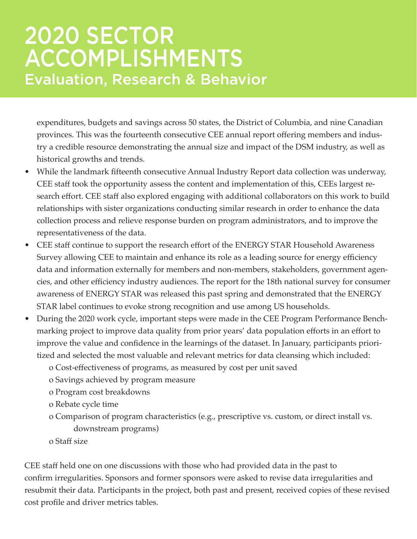### 2020 SECTOR ACCOMPLISHMENTS Evaluation, Research & Behavior

expenditures, budgets and savings across 50 states, the District of Columbia, and nine Canadian provinces. This was the fourteenth consecutive CEE annual report offering members and industry a credible resource demonstrating the annual size and impact of the DSM industry, as well as historical growths and trends.

- While the landmark fifteenth consecutive Annual Industry Report data collection was underway, CEE staff took the opportunity assess the content and implementation of this, CEEs largest research effort. CEE staff also explored engaging with additional collaborators on this work to build relationships with sister organizations conducting similar research in order to enhance the data collection process and relieve response burden on program administrators, and to improve the representativeness of the data.
- CEE staff continue to support the research effort of the ENERGY STAR Household Awareness Survey allowing CEE to maintain and enhance its role as a leading source for energy efficiency data and information externally for members and non-members, stakeholders, government agencies, and other efficiency industry audiences. The report for the 18th national survey for consumer awareness of ENERGY STAR was released this past spring and demonstrated that the ENERGY STAR label continues to evoke strong recognition and use among US households.
- During the 2020 work cycle, important steps were made in the CEE Program Performance Benchmarking project to improve data quality from prior years' data population efforts in an effort to improve the value and confidence in the learnings of the dataset. In January, participants prioritized and selected the most valuable and relevant metrics for data cleansing which included:
	- o Cost-effectiveness of programs, as measured by cost per unit saved
	- o Savings achieved by program measure
	- o Program cost breakdowns
	- o Rebate cycle time
	- o Comparison of program characteristics (e.g., prescriptive vs. custom, or direct install vs. downstream programs)
	- o Staff size

CEE staff held one on one discussions with those who had provided data in the past to confirm irregularities. Sponsors and former sponsors were asked to revise data irregularities and resubmit their data. Participants in the project, both past and present, received copies of these revised cost profile and driver metrics tables.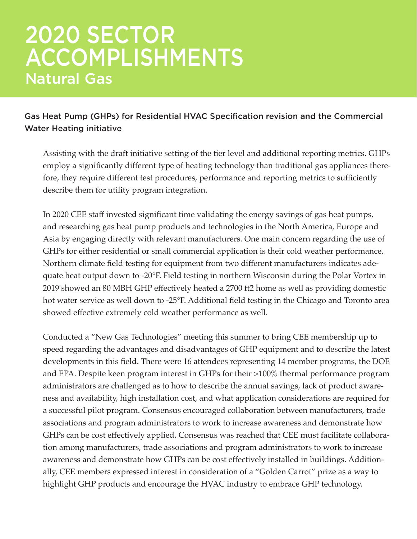### 2020 SECTOR ACCOMPLISHMENTS Natural Gas

#### Gas Heat Pump (GHPs) for Residential HVAC Specification revision and the Commercial Water Heating initiative

Assisting with the draft initiative setting of the tier level and additional reporting metrics. GHPs employ a significantly different type of heating technology than traditional gas appliances therefore, they require different test procedures, performance and reporting metrics to sufficiently describe them for utility program integration.

In 2020 CEE staff invested significant time validating the energy savings of gas heat pumps, and researching gas heat pump products and technologies in the North America, Europe and Asia by engaging directly with relevant manufacturers. One main concern regarding the use of GHPs for either residential or small commercial application is their cold weather performance. Northern climate field testing for equipment from two different manufacturers indicates adequate heat output down to -20°F. Field testing in northern Wisconsin during the Polar Vortex in 2019 showed an 80 MBH GHP effectively heated a 2700 ft2 home as well as providing domestic hot water service as well down to -25°F. Additional field testing in the Chicago and Toronto area showed effective extremely cold weather performance as well.

Conducted a "New Gas Technologies" meeting this summer to bring CEE membership up to speed regarding the advantages and disadvantages of GHP equipment and to describe the latest developments in this field. There were 16 attendees representing 14 member programs, the DOE and EPA. Despite keen program interest in GHPs for their >100% thermal performance program administrators are challenged as to how to describe the annual savings, lack of product awareness and availability, high installation cost, and what application considerations are required for a successful pilot program. Consensus encouraged collaboration between manufacturers, trade associations and program administrators to work to increase awareness and demonstrate how GHPs can be cost effectively applied. Consensus was reached that CEE must facilitate collaboration among manufacturers, trade associations and program administrators to work to increase awareness and demonstrate how GHPs can be cost effectively installed in buildings. Additionally, CEE members expressed interest in consideration of a "Golden Carrot" prize as a way to highlight GHP products and encourage the HVAC industry to embrace GHP technology.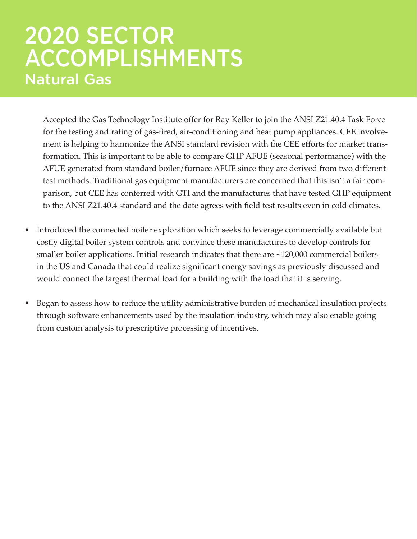### 2020 SECTOR ACCOMPLISHMENTS Natural Gas

Accepted the Gas Technology Institute offer for Ray Keller to join the ANSI Z21.40.4 Task Force for the testing and rating of gas-fired, air-conditioning and heat pump appliances. CEE involvement is helping to harmonize the ANSI standard revision with the CEE efforts for market transformation. This is important to be able to compare GHP AFUE (seasonal performance) with the AFUE generated from standard boiler/furnace AFUE since they are derived from two different test methods. Traditional gas equipment manufacturers are concerned that this isn't a fair comparison, but CEE has conferred with GTI and the manufactures that have tested GHP equipment to the ANSI Z21.40.4 standard and the date agrees with field test results even in cold climates.

- Introduced the connected boiler exploration which seeks to leverage commercially available but costly digital boiler system controls and convince these manufactures to develop controls for smaller boiler applications. Initial research indicates that there are ~120,000 commercial boilers in the US and Canada that could realize significant energy savings as previously discussed and would connect the largest thermal load for a building with the load that it is serving.
- Began to assess how to reduce the utility administrative burden of mechanical insulation projects through software enhancements used by the insulation industry, which may also enable going from custom analysis to prescriptive processing of incentives.